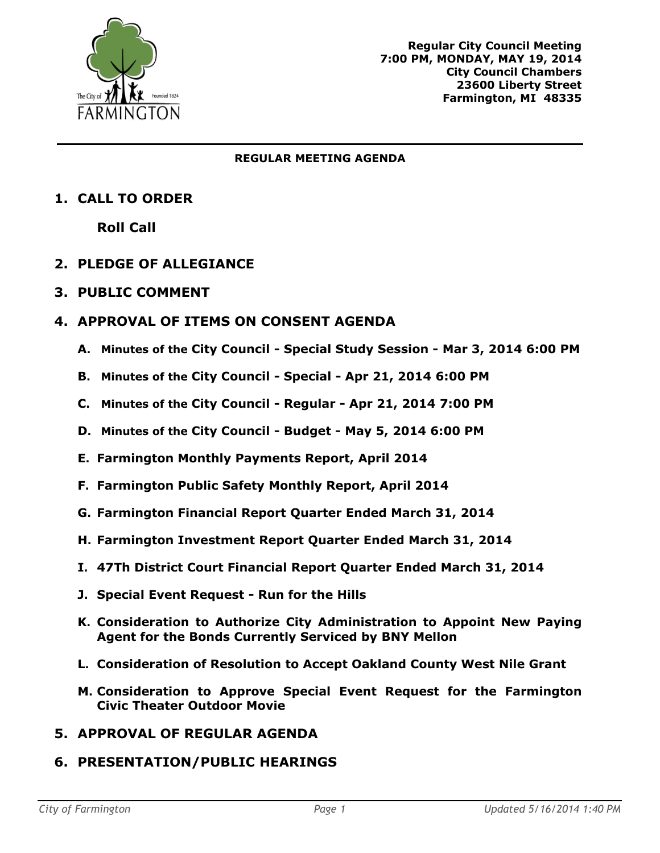

#### **REGULAR MEETING AGENDA**

# **1. CALL TO ORDER**

**Roll Call**

# **2. PLEDGE OF ALLEGIANCE**

## **3. PUBLIC COMMENT**

# **4. APPROVAL OF ITEMS ON CONSENT AGENDA**

- **A. Minutes of the City Council - Special Study Session - Mar 3, 2014 6:00 PM**
- **B. Minutes of the City Council - Special - Apr 21, 2014 6:00 PM**
- **C. Minutes of the City Council - Regular - Apr 21, 2014 7:00 PM**
- **D. Minutes of the City Council - Budget - May 5, 2014 6:00 PM**
- **E. Farmington Monthly Payments Report, April 2014**
- **F. Farmington Public Safety Monthly Report, April 2014**
- **G. Farmington Financial Report Quarter Ended March 31, 2014**
- **H. Farmington Investment Report Quarter Ended March 31, 2014**
- **I. 47Th District Court Financial Report Quarter Ended March 31, 2014**
- **J. Special Event Request - Run for the Hills**
- **K. Consideration to Authorize City Administration to Appoint New Paying Agent for the Bonds Currently Serviced by BNY Mellon**
- **L. Consideration of Resolution to Accept Oakland County West Nile Grant**
- **M. Consideration to Approve Special Event Request for the Farmington Civic Theater Outdoor Movie**
- **5. APPROVAL OF REGULAR AGENDA**

# **6. PRESENTATION/PUBLIC HEARINGS**